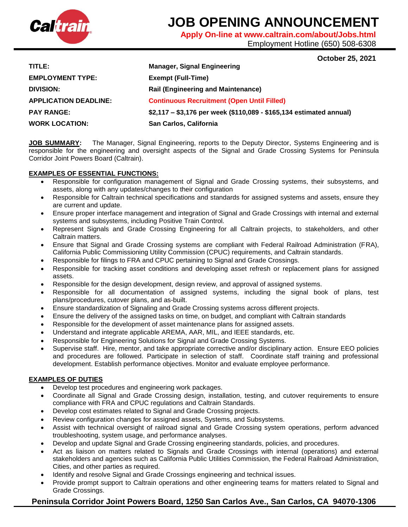

# **JOB OPENING ANNOUNCEMENT**

**Apply On-line at www.caltrain.com/about/Jobs.html** 

Employment Hotline (650) 508-6308

# **October 25, 2021**

| TITLE:                       | <b>Manager, Signal Engineering</b>                                  |
|------------------------------|---------------------------------------------------------------------|
| <b>EMPLOYMENT TYPE:</b>      | <b>Exempt (Full-Time)</b>                                           |
| <b>DIVISION:</b>             | <b>Rail (Engineering and Maintenance)</b>                           |
| <b>APPLICATION DEADLINE:</b> | <b>Continuous Recruitment (Open Until Filled)</b>                   |
| <b>PAY RANGE:</b>            | \$2,117 - \$3,176 per week (\$110,089 - \$165,134 estimated annual) |
| <b>WORK LOCATION:</b>        | San Carlos, California                                              |

**JOB SUMMARY:** The Manager, Signal Engineering, reports to the Deputy Director, Systems Engineering and is responsible for the engineering and oversight aspects of the Signal and Grade Crossing Systems for Peninsula Corridor Joint Powers Board (Caltrain).

## **EXAMPLES OF ESSENTIAL FUNCTIONS:**

- Responsible for configuration management of Signal and Grade Crossing systems, their subsystems, and assets, along with any updates/changes to their configuration
- Responsible for Caltrain technical specifications and standards for assigned systems and assets, ensure they are current and update.
- Ensure proper interface management and integration of Signal and Grade Crossings with internal and external systems and subsystems, including Positive Train Control.
- Represent Signals and Grade Crossing Engineering for all Caltrain projects, to stakeholders, and other Caltrain matters.
- Ensure that Signal and Grade Crossing systems are compliant with Federal Railroad Administration (FRA), California Public Commissioning Utility Commission (CPUC) requirements, and Caltrain standards.
- Responsible for filings to FRA and CPUC pertaining to Signal and Grade Crossings.
- Responsible for tracking asset conditions and developing asset refresh or replacement plans for assigned assets.
- Responsible for the design development, design review, and approval of assigned systems.
- Responsible for all documentation of assigned systems, including the signal book of plans, test plans/procedures, cutover plans, and as-built.
- Ensure standardization of Signaling and Grade Crossing systems across different projects.
- Ensure the delivery of the assigned tasks on time, on budget, and compliant with Caltrain standards
- Responsible for the development of asset maintenance plans for assigned assets.
- Understand and integrate applicable AREMA, AAR, MIL, and IEEE standards, etc.
- Responsible for Engineering Solutions for Signal and Grade Crossing Systems.
- Supervise staff. Hire, mentor, and take appropriate corrective and/or disciplinary action. Ensure EEO policies and procedures are followed. Participate in selection of staff. Coordinate staff training and professional development. Establish performance objectives. Monitor and evaluate employee performance.

## **EXAMPLES OF DUTIES**

- Develop test procedures and engineering work packages.
- Coordinate all Signal and Grade Crossing design, installation, testing, and cutover requirements to ensure compliance with FRA and CPUC regulations and Caltrain Standards.
- Develop cost estimates related to Signal and Grade Crossing projects.
- Review configuration changes for assigned assets, Systems, and Subsystems.
- Assist with technical oversight of railroad signal and Grade Crossing system operations, perform advanced troubleshooting, system usage, and performance analyses.
- Develop and update Signal and Grade Crossing engineering standards, policies, and procedures.
- Act as liaison on matters related to Signals and Grade Crossings with internal (operations) and external stakeholders and agencies such as California Public Utilities Commission, the Federal Railroad Administration, Cities, and other parties as required.
- Identify and resolve Signal and Grade Crossings engineering and technical issues.
- Provide prompt support to Caltrain operations and other engineering teams for matters related to Signal and Grade Crossings.

# **Peninsula Corridor Joint Powers Board, 1250 San Carlos Ave., San Carlos, CA 94070-1306**